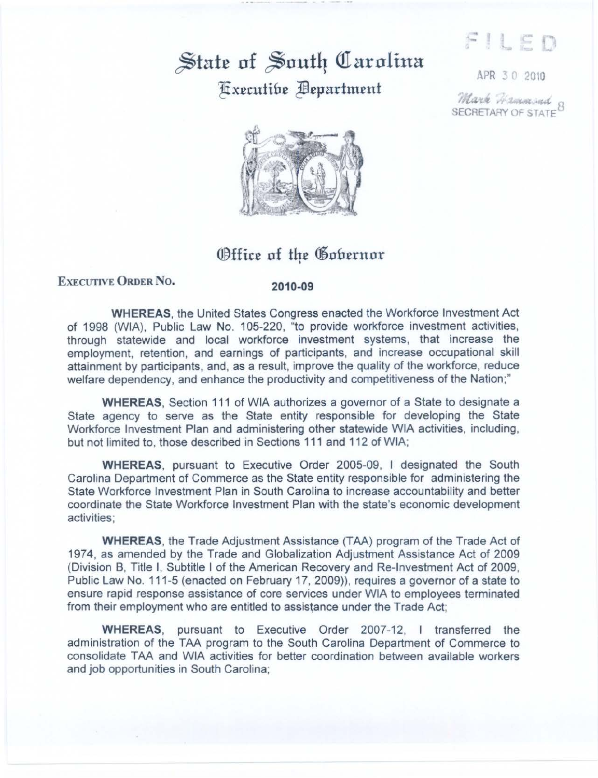FILED

## $\frac{1}{2}$  at  $\frac{1}{2}$  outh Uarolina Ifix£tutifl£ Jfl£fHtrtm£nt

APR 3 0 2010

*llta:r.,* ,..., ~~ SECRETARY OF STATE<sup>9</sup>



## Office of the Gobernor

## EXEcUTIVE ORDER No. **2010-09**

**WHEREAS,** the United States Congress enacted the Workforce Investment Act of 1998 (WIA}, Public Law No. 105-220, "to provide workforce investment activities, through statewide and local workforce investment systems, that increase the employment, retention, and earnings of participants, and increase occupational skill attainment by participants, and, as a result, improve the quality of the workforce, reduce welfare dependency, and enhance the productivity and competitiveness of the Nation;"

**WHEREAS,** Section 111 of WIA authorizes a governor of a State to designate a State agency to serve as the State entity responsible for developing the State Workforce Investment Plan and administering other statewide WIA activities, including, but not limited to, those described in Sections 111 and 112 of WIA;

**WHEREAS,** pursuant to Executive Order 2005-09, I designated the South Carolina Department of Commerce as the State entity responsible for administering the State Workforce Investment Plan in South Carolina to increase accountability and better coordinate the State Workforce Investment Plan with the state's economic development activities;

**WHEREAS,** the Trade Adjustment Assistance (TAA) program of the Trade Act of 1974, as amended by the Trade and Globalization Adjustment Assistance Act of 2009 (Division B, Title I, Subtitle I of the American Recovery and Re-Investment Act of 2009, Public Law No. 111-5 (enacted on February 17, 2009)), requires a governor of a state to ensure rapid response assistance of core services under WIA to employees terminated from their employment who are entitled to assistance under the Trade Act;

**WHEREAS,** pursuant to Executive Order 2007-12, I transferred the administration of the TAA program to the South Carolina Department of Commerce to consolidate T AA and WIA activities for better coordination between available workers and job opportunities in South Carolina;